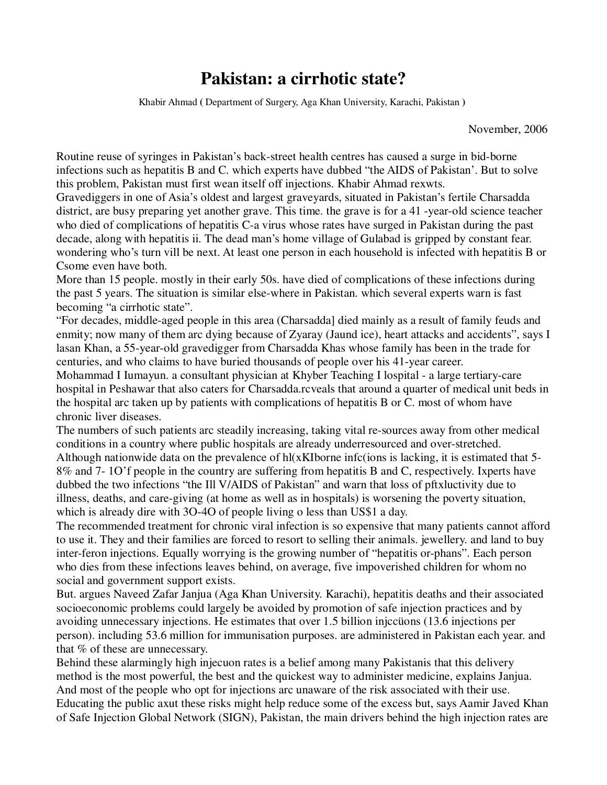## **Pakistan: a cirrhotic state?**

Khabir Ahmad **(** Department of Surgery, Aga Khan University, Karachi, Pakistan **)**

November, 2006

Routine reuse of syringes in Pakistan's back-street health centres has caused a surge in bid-borne infections such as hepatitis B and C. which experts have dubbed "the AIDS of Pakistan'. But to solve this problem, Pakistan must first wean itself off injections. Khabir Ahmad rexwts.

Gravediggers in one of Asia's oldest and largest graveyards, situated in Pakistan's fertile Charsadda district, are busy preparing yet another grave. This time. the grave is for a 41 -year-old science teacher who died of complications of hepatitis C-a virus whose rates have surged in Pakistan during the past decade, along with hepatitis ii. The dead man's home village of Gulabad is gripped by constant fear. wondering who's turn vill be next. At least one person in each household is infected with hepatitis B or Csome even have both.

More than 15 people. mostly in their early 50s. have died of complications of these infections during the past 5 years. The situation is similar else-where in Pakistan. which several experts warn is fast becoming "a cirrhotic state".

"For decades, middle-aged people in this area (Charsadda] died mainly as a result of family feuds and enmity; now many of them arc dying because of Zyaray (Jaund ice), heart attacks and accidents", says I lasan Khan, a 55-year-old gravedigger from Charsadda Khas whose family has been in the trade for centuries, and who claims to have buried thousands of people over his 41-year career.

Mohammad I Iumayun. a consultant physician at Khyber Teaching I lospital - a large tertiary-care hospital in Peshawar that also caters for Charsadda.rcveals that around a quarter of medical unit beds in the hospital arc taken up by patients with complications of hepatitis B or C. most of whom have chronic liver diseases.

The numbers of such patients arc steadily increasing, taking vital re-sources away from other medical conditions in a country where public hospitals are already underresourced and over-stretched. Although nationwide data on the prevalence of hl(xKIborne infc(ions is lacking, it is estimated that 5- 8% and 7- 1O'f people in the country are suffering from hepatitis B and C, respectively. Ixperts have dubbed the two infections "the Ill V/AIDS of Pakistan" and warn that loss of pftxluctivity due to illness, deaths, and care-giving (at home as well as in hospitals) is worsening the poverty situation, which is already dire with 3O-4O of people living o less than US\$1 a day.

The recommended treatment for chronic viral infection is so expensive that many patients cannot afford to use it. They and their families are forced to resort to selling their animals. jewellery. and land to buy inter-feron injections. Equally worrying is the growing number of "hepatitis or-phans". Each person who dies from these infections leaves behind, on average, five impoverished children for whom no social and government support exists.

But. argues Naveed Zafar Janjua (Aga Khan University. Karachi), hepatitis deaths and their associated socioeconomic problems could largely be avoided by promotion of safe injection practices and by avoiding unnecessary injections. He estimates that over 1.5 billion injccüons (13.6 injections per person). including 53.6 million for immunisation purposes. are administered in Pakistan each year. and that % of these are unnecessary.

Behind these alarmingly high injecuon rates is a belief among many Pakistanis that this delivery method is the most powerful, the best and the quickest way to administer medicine, explains Janjua. And most of the people who opt for injections arc unaware of the risk associated with their use. Educating the public axut these risks might help reduce some of the excess but, says Aamir Javed Khan of Safe Injection Global Network (SIGN), Pakistan, the main drivers behind the high injection rates are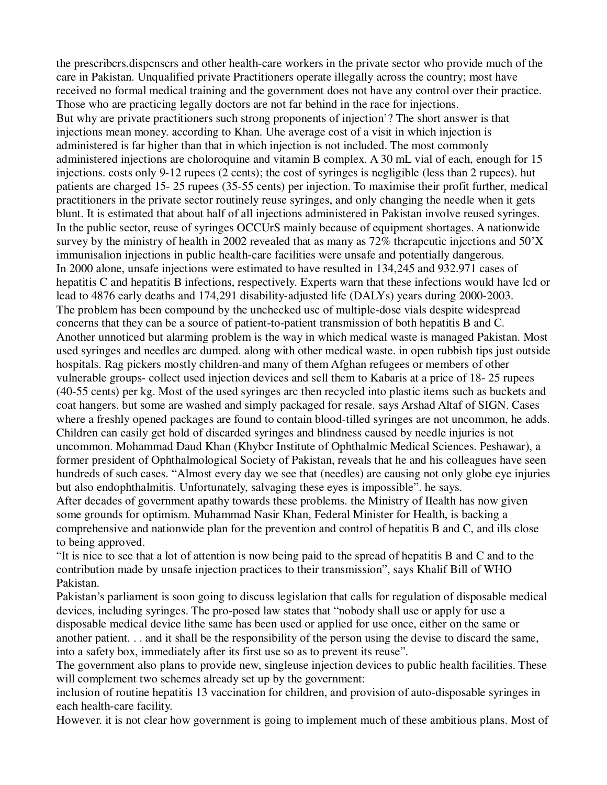the prescribcrs.dispcnscrs and other health-care workers in the private sector who provide much of the care in Pakistan. Unqualified private Practitioners operate illegally across the country; most have received no formal medical training and the government does not have any control over their practice. Those who are practicing legally doctors are not far behind in the race for injections. But why are private practitioners such strong proponents of injection'? The short answer is that injections mean money. according to Khan. Uhe average cost of a visit in which injection is administered is far higher than that in which injection is not included. The most commonly administered injections are choloroquine and vitamin B complex. A 30 mL vial of each, enough for 15 injections. costs only 9-12 rupees (2 cents); the cost of syringes is negligible (less than 2 rupees). hut patients are charged 15- 25 rupees (35-55 cents) per injection. To maximise their profit further, medical practitioners in the private sector routinely reuse syringes, and only changing the needle when it gets blunt. It is estimated that about half of all injections administered in Pakistan involve reused syringes. In the public sector, reuse of syringes OCCUrS mainly because of equipment shortages. A nationwide survey by the ministry of health in 2002 revealed that as many as 72% thcrapcutic injcctions and 50'X immunisalion injections in public health-care facilities were unsafe and potentially dangerous. In 2000 alone, unsafe injections were estimated to have resulted in 134,245 and 932.971 cases of hepatitis C and hepatitis B infections, respectively. Experts warn that these infections would have lcd or lead to 4876 early deaths and 174,291 disability-adjusted life (DALYs) years during 2000-2003. The problem has been compound by the unchecked usc of multiple-dose vials despite widespread concerns that they can be a source of patient-to-patient transmission of both hepatitis B and C. Another unnoticed but alarming problem is the way in which medical waste is managed Pakistan. Most used syringes and needles arc dumped. along with other medical waste. in open rubbish tips just outside hospitals. Rag pickers mostly children-and many of them Afghan refugees or members of other vulnerable groups- collect used injection devices and sell them to Kabaris at a price of 18- 25 rupees (40-55 cents) per kg. Most of the used syringes arc then recycled into plastic items such as buckets and coat hangers. but some are washed and simply packaged for resale. says Arshad Altaf of SIGN. Cases where a freshly opened packages are found to contain blood-tilled syringes are not uncommon, he adds. Children can easily get hold of discarded syringes and blindness caused by needle injuries is not uncommon. Mohammad Daud Khan (Khybcr Institute of Ophthalmic Medical Sciences. Peshawar), a former president of Ophthalmological Society of Pakistan, reveals that he and his colleagues have seen hundreds of such cases. "Almost every day we see that (needles) are causing not only globe eye injuries but also endophthalmitis. Unfortunately, salvaging these eyes is impossible". he says. After decades of government apathy towards these problems. the Ministry of IIealth has now given some grounds for optimism. Muhammad Nasir Khan, Federal Minister for Health, is backing a comprehensive and nationwide plan for the prevention and control of hepatitis B and C, and ills close to being approved.

"It is nice to see that a lot of attention is now being paid to the spread of hepatitis B and C and to the contribution made by unsafe injection practices to their transmission", says Khalif Bill of WHO Pakistan.

Pakistan's parliament is soon going to discuss legislation that calls for regulation of disposable medical devices, including syringes. The pro-posed law states that "nobody shall use or apply for use a disposable medical device lithe same has been used or applied for use once, either on the same or another patient. . . and it shall be the responsibility of the person using the devise to discard the same, into a safety box, immediately after its first use so as to prevent its reuse".

The government also plans to provide new, singleuse injection devices to public health facilities. These will complement two schemes already set up by the government:

inclusion of routine hepatitis 13 vaccination for children, and provision of auto-disposable syringes in each health-care facility.

However. it is not clear how government is going to implement much of these ambitious plans. Most of